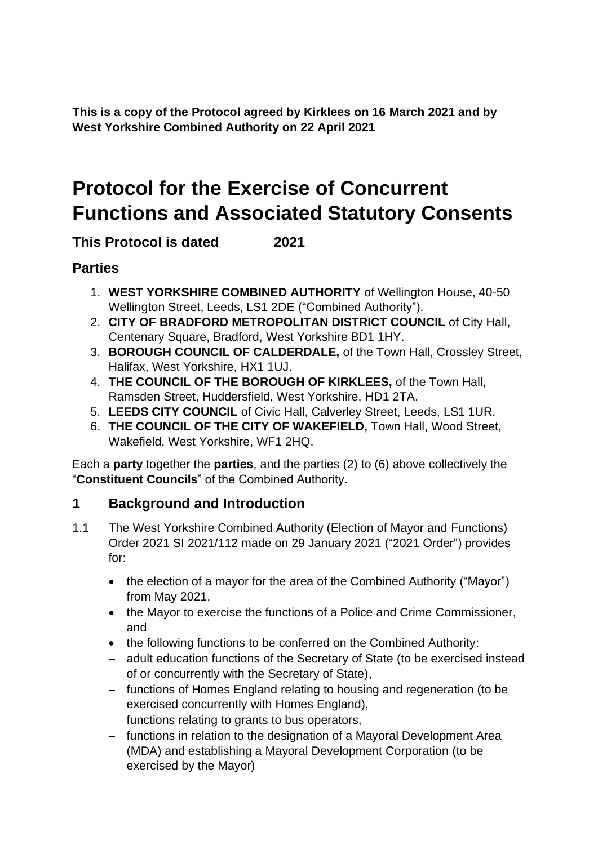**This is a copy of the Protocol agreed by Kirklees on 16 March 2021 and by West Yorkshire Combined Authority on 22 April 2021**

# **Protocol for the Exercise of Concurrent Functions and Associated Statutory Consents**

## **This Protocol is dated 2021**

## **Parties**

- 1. **WEST YORKSHIRE COMBINED AUTHORITY** of Wellington House, 40-50 Wellington Street, Leeds, LS1 2DE ("Combined Authority").
- 2. **CITY OF BRADFORD METROPOLITAN DISTRICT COUNCIL** of City Hall, Centenary Square, Bradford, West Yorkshire BD1 1HY.
- 3. **BOROUGH COUNCIL OF CALDERDALE,** of the Town Hall, Crossley Street, Halifax, West Yorkshire, HX1 1UJ.
- 4. **THE COUNCIL OF THE BOROUGH OF KIRKLEES,** of the Town Hall, Ramsden Street, Huddersfield, West Yorkshire, HD1 2TA.
- 5. **LEEDS CITY COUNCIL** of Civic Hall, Calverley Street, Leeds, LS1 1UR.
- 6. **THE COUNCIL OF THE CITY OF WAKEFIELD,** Town Hall, Wood Street, Wakefield, West Yorkshire, WF1 2HQ.

Each a **party** together the **parties**, and the parties (2) to (6) above collectively the "**Constituent Councils**" of the Combined Authority.

## **1 Background and Introduction**

- 1.1 The West Yorkshire Combined Authority (Election of Mayor and Functions) Order 2021 SI 2021/112 made on 29 January 2021 ("2021 Order") provides for:
	- the election of a mayor for the area of the Combined Authority ("Mayor") from May 2021,
	- the Mayor to exercise the functions of a Police and Crime Commissioner, and
	- the following functions to be conferred on the Combined Authority:
	- − adult education functions of the Secretary of State (to be exercised instead of or concurrently with the Secretary of State),
	- − functions of Homes England relating to housing and regeneration (to be exercised concurrently with Homes England),
	- − functions relating to grants to bus operators,
	- − functions in relation to the designation of a Mayoral Development Area (MDA) and establishing a Mayoral Development Corporation (to be exercised by the Mayor)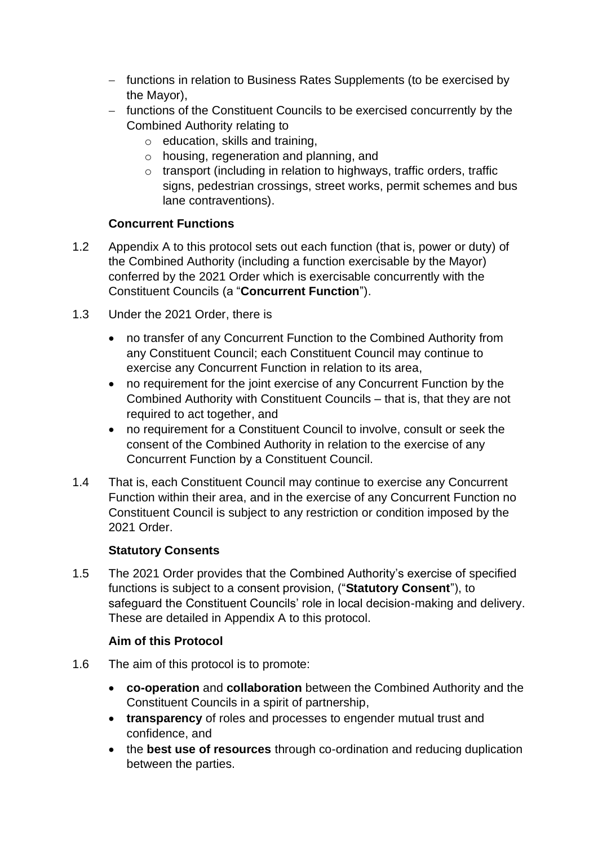- − functions in relation to Business Rates Supplements (to be exercised by the Mayor),
- − functions of the Constituent Councils to be exercised concurrently by the Combined Authority relating to
	- $\circ$  education, skills and training,
	- o housing, regeneration and planning, and
	- o transport (including in relation to highways, traffic orders, traffic signs, pedestrian crossings, street works, permit schemes and bus lane contraventions).

#### **Concurrent Functions**

- 1.2 Appendix A to this protocol sets out each function (that is, power or duty) of the Combined Authority (including a function exercisable by the Mayor) conferred by the 2021 Order which is exercisable concurrently with the Constituent Councils (a "**Concurrent Function**").
- 1.3 Under the 2021 Order, there is
	- no transfer of any Concurrent Function to the Combined Authority from any Constituent Council; each Constituent Council may continue to exercise any Concurrent Function in relation to its area,
	- no requirement for the joint exercise of any Concurrent Function by the Combined Authority with Constituent Councils – that is, that they are not required to act together, and
	- no requirement for a Constituent Council to involve, consult or seek the consent of the Combined Authority in relation to the exercise of any Concurrent Function by a Constituent Council.
- 1.4 That is, each Constituent Council may continue to exercise any Concurrent Function within their area, and in the exercise of any Concurrent Function no Constituent Council is subject to any restriction or condition imposed by the 2021 Order.

#### **Statutory Consents**

1.5 The 2021 Order provides that the Combined Authority's exercise of specified functions is subject to a consent provision, ("**Statutory Consent**"), to safeguard the Constituent Councils' role in local decision-making and delivery. These are detailed in Appendix A to this protocol.

#### **Aim of this Protocol**

- 1.6 The aim of this protocol is to promote:
	- **co-operation** and **collaboration** between the Combined Authority and the Constituent Councils in a spirit of partnership,
	- **transparency** of roles and processes to engender mutual trust and confidence, and
	- the **best use of resources** through co-ordination and reducing duplication between the parties.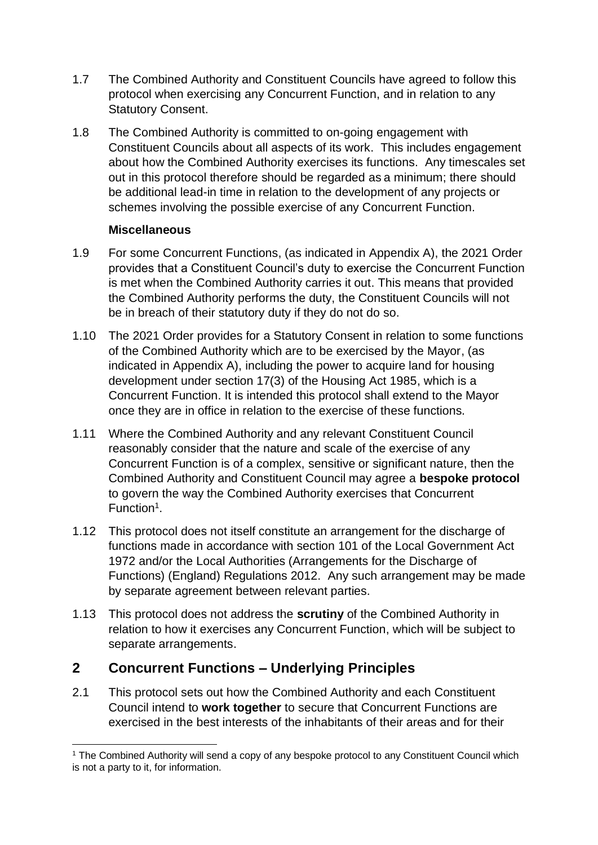- 1.7 The Combined Authority and Constituent Councils have agreed to follow this protocol when exercising any Concurrent Function, and in relation to any Statutory Consent.
- 1.8 The Combined Authority is committed to on-going engagement with Constituent Councils about all aspects of its work. This includes engagement about how the Combined Authority exercises its functions. Any timescales set out in this protocol therefore should be regarded as a minimum; there should be additional lead-in time in relation to the development of any projects or schemes involving the possible exercise of any Concurrent Function.

#### **Miscellaneous**

- 1.9 For some Concurrent Functions, (as indicated in Appendix A), the 2021 Order provides that a Constituent Council's duty to exercise the Concurrent Function is met when the Combined Authority carries it out. This means that provided the Combined Authority performs the duty, the Constituent Councils will not be in breach of their statutory duty if they do not do so.
- 1.10 The 2021 Order provides for a Statutory Consent in relation to some functions of the Combined Authority which are to be exercised by the Mayor, (as indicated in Appendix A), including the power to acquire land for housing development under section 17(3) of the Housing Act 1985, which is a Concurrent Function. It is intended this protocol shall extend to the Mayor once they are in office in relation to the exercise of these functions.
- 1.11 Where the Combined Authority and any relevant Constituent Council reasonably consider that the nature and scale of the exercise of any Concurrent Function is of a complex, sensitive or significant nature, then the Combined Authority and Constituent Council may agree a **bespoke protocol** to govern the way the Combined Authority exercises that Concurrent Function<sup>1</sup>.
- 1.12 This protocol does not itself constitute an arrangement for the discharge of functions made in accordance with section 101 of the Local Government Act 1972 and/or the Local Authorities (Arrangements for the Discharge of Functions) (England) Regulations 2012. Any such arrangement may be made by separate agreement between relevant parties.
- 1.13 This protocol does not address the **scrutiny** of the Combined Authority in relation to how it exercises any Concurrent Function, which will be subject to separate arrangements.

## **2 Concurrent Functions – Underlying Principles**

2.1 This protocol sets out how the Combined Authority and each Constituent Council intend to **work together** to secure that Concurrent Functions are exercised in the best interests of the inhabitants of their areas and for their

<sup>&</sup>lt;sup>1</sup> The Combined Authority will send a copy of any bespoke protocol to any Constituent Council which is not a party to it, for information.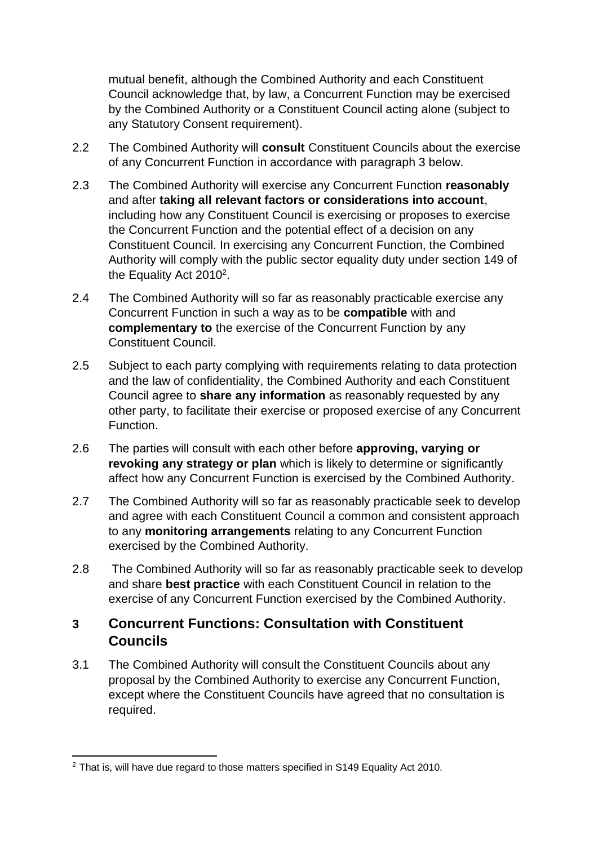mutual benefit, although the Combined Authority and each Constituent Council acknowledge that, by law, a Concurrent Function may be exercised by the Combined Authority or a Constituent Council acting alone (subject to any Statutory Consent requirement).

- 2.2 The Combined Authority will **consult** Constituent Councils about the exercise of any Concurrent Function in accordance with paragraph 3 below.
- 2.3 The Combined Authority will exercise any Concurrent Function **reasonably** and after **taking all relevant factors or considerations into account**, including how any Constituent Council is exercising or proposes to exercise the Concurrent Function and the potential effect of a decision on any Constituent Council. In exercising any Concurrent Function, the Combined Authority will comply with the public sector equality duty under section 149 of the Equality Act  $2010^2$ .
- 2.4 The Combined Authority will so far as reasonably practicable exercise any Concurrent Function in such a way as to be **compatible** with and **complementary to** the exercise of the Concurrent Function by any Constituent Council.
- 2.5 Subject to each party complying with requirements relating to data protection and the law of confidentiality, the Combined Authority and each Constituent Council agree to **share any information** as reasonably requested by any other party, to facilitate their exercise or proposed exercise of any Concurrent Function.
- 2.6 The parties will consult with each other before **approving, varying or revoking any strategy or plan** which is likely to determine or significantly affect how any Concurrent Function is exercised by the Combined Authority.
- 2.7 The Combined Authority will so far as reasonably practicable seek to develop and agree with each Constituent Council a common and consistent approach to any **monitoring arrangements** relating to any Concurrent Function exercised by the Combined Authority.
- 2.8 The Combined Authority will so far as reasonably practicable seek to develop and share **best practice** with each Constituent Council in relation to the exercise of any Concurrent Function exercised by the Combined Authority.

## **3 Concurrent Functions: Consultation with Constituent Councils**

3.1 The Combined Authority will consult the Constituent Councils about any proposal by the Combined Authority to exercise any Concurrent Function, except where the Constituent Councils have agreed that no consultation is required.

 $2$  That is, will have due regard to those matters specified in S149 Equality Act 2010.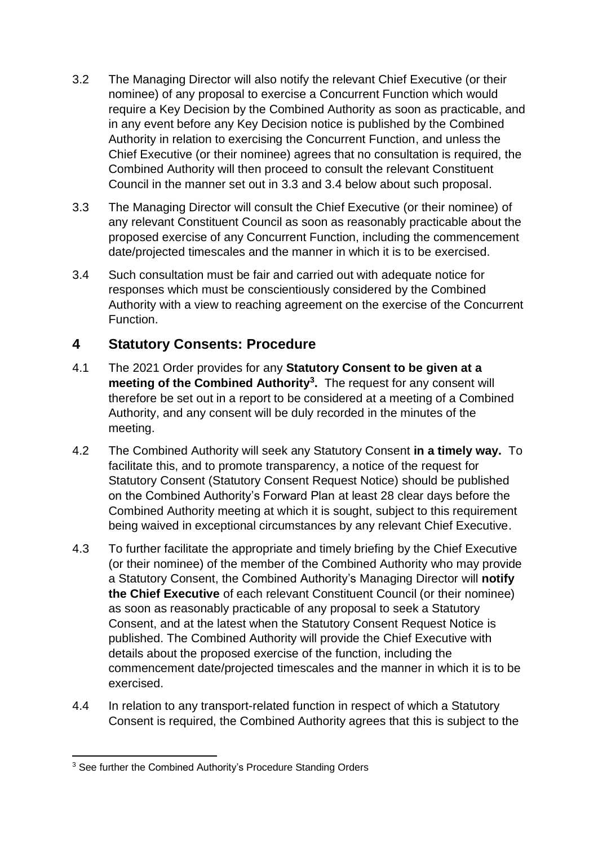- 3.2 The Managing Director will also notify the relevant Chief Executive (or their nominee) of any proposal to exercise a Concurrent Function which would require a Key Decision by the Combined Authority as soon as practicable, and in any event before any Key Decision notice is published by the Combined Authority in relation to exercising the Concurrent Function, and unless the Chief Executive (or their nominee) agrees that no consultation is required, the Combined Authority will then proceed to consult the relevant Constituent Council in the manner set out in 3.3 and 3.4 below about such proposal.
- 3.3 The Managing Director will consult the Chief Executive (or their nominee) of any relevant Constituent Council as soon as reasonably practicable about the proposed exercise of any Concurrent Function, including the commencement date/projected timescales and the manner in which it is to be exercised.
- 3.4 Such consultation must be fair and carried out with adequate notice for responses which must be conscientiously considered by the Combined Authority with a view to reaching agreement on the exercise of the Concurrent Function.

## **4 Statutory Consents: Procedure**

- 4.1 The 2021 Order provides for any **Statutory Consent to be given at a meeting of the Combined Authority<sup>3</sup> .** The request for any consent will therefore be set out in a report to be considered at a meeting of a Combined Authority, and any consent will be duly recorded in the minutes of the meeting.
- 4.2 The Combined Authority will seek any Statutory Consent **in a timely way.** To facilitate this, and to promote transparency, a notice of the request for Statutory Consent (Statutory Consent Request Notice) should be published on the Combined Authority's Forward Plan at least 28 clear days before the Combined Authority meeting at which it is sought, subject to this requirement being waived in exceptional circumstances by any relevant Chief Executive.
- 4.3 To further facilitate the appropriate and timely briefing by the Chief Executive (or their nominee) of the member of the Combined Authority who may provide a Statutory Consent, the Combined Authority's Managing Director will **notify the Chief Executive** of each relevant Constituent Council (or their nominee) as soon as reasonably practicable of any proposal to seek a Statutory Consent, and at the latest when the Statutory Consent Request Notice is published. The Combined Authority will provide the Chief Executive with details about the proposed exercise of the function, including the commencement date/projected timescales and the manner in which it is to be exercised.
- 4.4 In relation to any transport-related function in respect of which a Statutory Consent is required, the Combined Authority agrees that this is subject to the

<sup>&</sup>lt;sup>3</sup> See further the Combined Authority's Procedure Standing Orders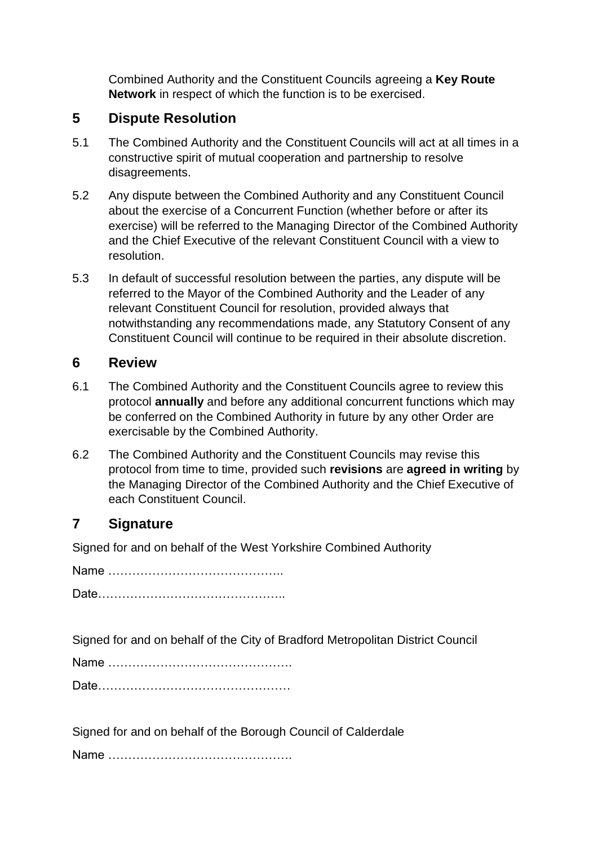Combined Authority and the Constituent Councils agreeing a **Key Route Network** in respect of which the function is to be exercised.

## **5 Dispute Resolution**

- 5.1 The Combined Authority and the Constituent Councils will act at all times in a constructive spirit of mutual cooperation and partnership to resolve disagreements.
- 5.2 Any dispute between the Combined Authority and any Constituent Council about the exercise of a Concurrent Function (whether before or after its exercise) will be referred to the Managing Director of the Combined Authority and the Chief Executive of the relevant Constituent Council with a view to resolution.
- 5.3 In default of successful resolution between the parties, any dispute will be referred to the Mayor of the Combined Authority and the Leader of any relevant Constituent Council for resolution, provided always that notwithstanding any recommendations made, any Statutory Consent of any Constituent Council will continue to be required in their absolute discretion.

#### **6 Review**

- 6.1 The Combined Authority and the Constituent Councils agree to review this protocol **annually** and before any additional concurrent functions which may be conferred on the Combined Authority in future by any other Order are exercisable by the Combined Authority.
- 6.2 The Combined Authority and the Constituent Councils may revise this protocol from time to time, provided such **revisions** are **agreed in writing** by the Managing Director of the Combined Authority and the Chief Executive of each Constituent Council.

#### **7 Signature**

Signed for and on behalf of the West Yorkshire Combined Authority

Name …………………………………….. Date………………………………………..

Signed for and on behalf of the City of Bradford Metropolitan District Council

Name ……………………………………….

Date…………………………………………

Signed for and on behalf of the Borough Council of Calderdale

Name ……………………………………….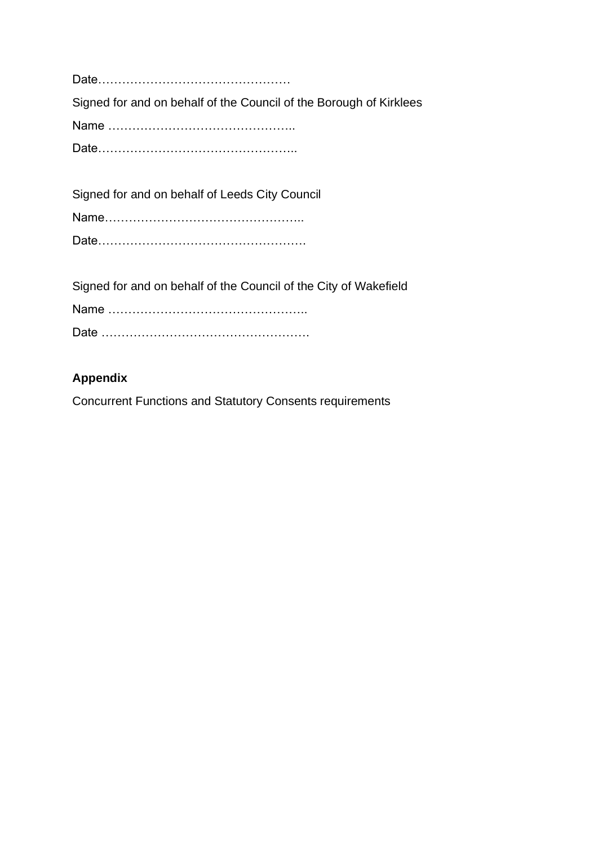Date………………………………………… Signed for and on behalf of the Council of the Borough of Kirklees Name ……………………………………….. Date…………………………………………..

Signed for and on behalf of Leeds City Council

Name………………………………………….. Date…………………………………………….

Signed for and on behalf of the Council of the City of Wakefield Name ………………………………………….. Date …………………………………………….

## **Appendix**

Concurrent Functions and Statutory Consents requirements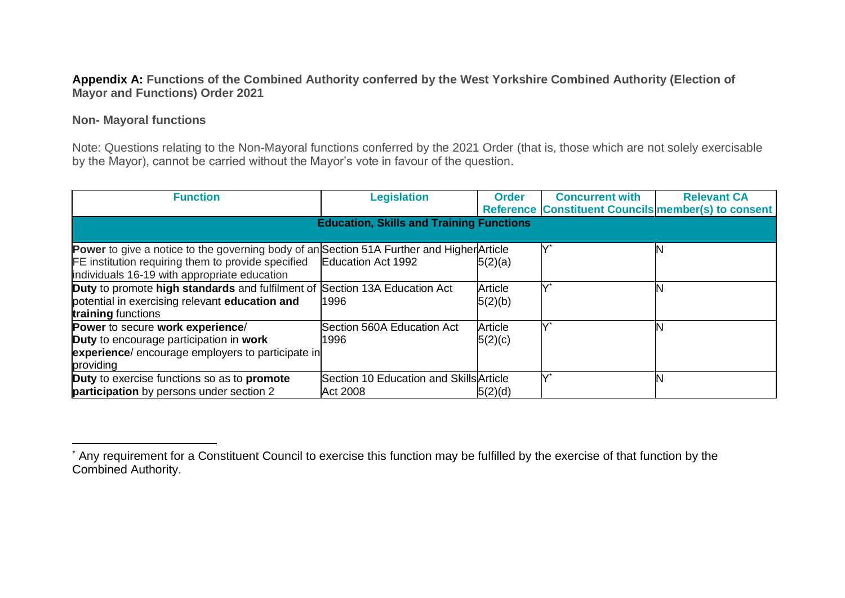#### **Appendix A: Functions of the Combined Authority conferred by the West Yorkshire Combined Authority (Election of Mayor and Functions) Order 2021**

#### **Non- Mayoral functions**

Note: Questions relating to the Non-Mayoral functions conferred by the 2021 Order (that is, those which are not solely exercisable by the Mayor), cannot be carried without the Mayor's vote in favour of the question.

| <b>Function</b>                                                                                  | <b>Legislation</b>                              | <b>Order</b> | <b>Concurrent with</b> | <b>Relevant CA</b>                                  |
|--------------------------------------------------------------------------------------------------|-------------------------------------------------|--------------|------------------------|-----------------------------------------------------|
|                                                                                                  |                                                 |              |                        | Reference Constituent Councils member(s) to consent |
|                                                                                                  | <b>Education, Skills and Training Functions</b> |              |                        |                                                     |
|                                                                                                  |                                                 |              |                        |                                                     |
| <b>Power</b> to give a notice to the governing body of an Section 51A Further and Higher Article |                                                 |              |                        |                                                     |
| FE institution requiring them to provide specified                                               | Education Act 1992                              | 5(2)(a)      |                        |                                                     |
| individuals 16-19 with appropriate education                                                     |                                                 |              |                        |                                                     |
| Duty to promote high standards and fulfilment of Section 13A Education Act                       |                                                 | Article      |                        |                                                     |
| potential in exercising relevant education and                                                   | 1996                                            | 5(2)(b)      |                        |                                                     |
| training functions                                                                               |                                                 |              |                        |                                                     |
| Power to secure work experience/                                                                 | Section 560A Education Act                      | Article      |                        |                                                     |
| <b>Duty</b> to encourage participation in work                                                   | 1996                                            | 5(2)(c)      |                        |                                                     |
| experience/ encourage employers to participate in                                                |                                                 |              |                        |                                                     |
| providing                                                                                        |                                                 |              |                        |                                                     |
| Duty to exercise functions so as to promote                                                      | Section 10 Education and Skills Article         |              |                        |                                                     |
| <b>participation</b> by persons under section 2                                                  | Act 2008                                        | 5(2)(d)      |                        |                                                     |

<sup>\*</sup> Any requirement for a Constituent Council to exercise this function may be fulfilled by the exercise of that function by the Combined Authority.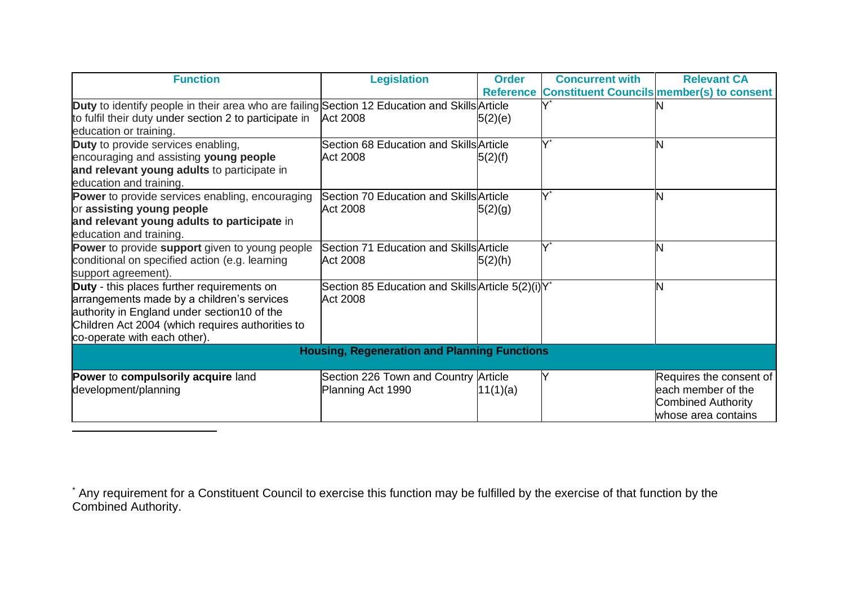| <b>Function</b>                                                                                                                                                                                                             | <b>Legislation</b>                                             | <b>Order</b> | <b>Concurrent with</b> | <b>Relevant CA</b><br>Reference Constituent Councils member(s) to consent                          |
|-----------------------------------------------------------------------------------------------------------------------------------------------------------------------------------------------------------------------------|----------------------------------------------------------------|--------------|------------------------|----------------------------------------------------------------------------------------------------|
| Duty to identify people in their area who are failing Section 12 Education and Skills Article<br>to fulfil their duty under section 2 to participate in<br>education or training.                                           | <b>Act 2008</b>                                                | 5(2)(e)      |                        |                                                                                                    |
| Duty to provide services enabling,<br>encouraging and assisting young people<br>and relevant young adults to participate in<br>education and training.                                                                      | Section 68 Education and Skills Article<br><b>Act 2008</b>     | 5(2)(f)      | Y*                     | N                                                                                                  |
| <b>Power</b> to provide services enabling, encouraging<br>or assisting young people<br>and relevant young adults to participate in<br>education and training.                                                               | Section 70 Education and Skills Article<br><b>Act 2008</b>     | 5(2)(g)      |                        | N                                                                                                  |
| <b>Power</b> to provide support given to young people<br>conditional on specified action (e.g. learning<br>support agreement).                                                                                              | Section 71 Education and Skills Article<br><b>Act 2008</b>     | 5(2)(h)      |                        | N                                                                                                  |
| Duty - this places further requirements on<br>arrangements made by a children's services<br>authority in England under section10 of the<br>Children Act 2004 (which requires authorities to<br>co-operate with each other). | Section 85 Education and Skills Article 5(2)(i) Y*<br>Act 2008 |              |                        | <b>N</b>                                                                                           |
|                                                                                                                                                                                                                             | <b>Housing, Regeneration and Planning Functions</b>            |              |                        |                                                                                                    |
| Power to compulsorily acquire land<br>development/planning                                                                                                                                                                  | Section 226 Town and Country Article<br>Planning Act 1990      | 11(1)(a)     |                        | Requires the consent of<br>leach member of the<br><b>Combined Authority</b><br>whose area contains |

\* Any requirement for a Constituent Council to exercise this function may be fulfilled by the exercise of that function by the Combined Authority.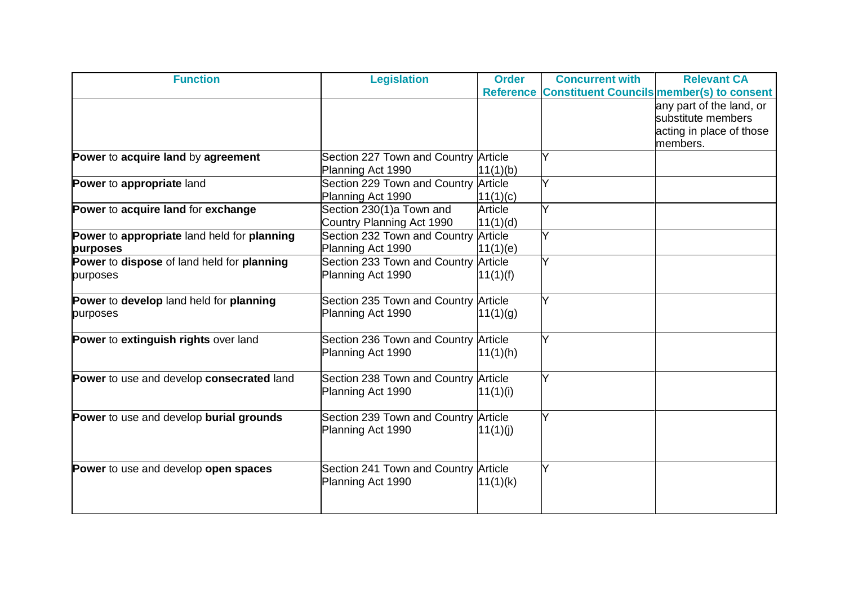| <b>Function</b>                             | <b>Legislation</b>                   | <b>Order</b> | <b>Concurrent with</b> | <b>Relevant CA</b>                                  |
|---------------------------------------------|--------------------------------------|--------------|------------------------|-----------------------------------------------------|
|                                             |                                      |              |                        | Reference Constituent Councils member(s) to consent |
|                                             |                                      |              |                        | any part of the land, or                            |
|                                             |                                      |              |                        | substitute members                                  |
|                                             |                                      |              |                        | acting in place of those                            |
|                                             |                                      |              |                        | members.                                            |
| Power to acquire land by agreement          | Section 227 Town and Country Article |              | Y                      |                                                     |
|                                             | Planning Act 1990                    | 11(1)(b)     |                        |                                                     |
| Power to appropriate land                   | Section 229 Town and Country Article |              | Y                      |                                                     |
|                                             | Planning Act 1990                    | 11(1)(c)     |                        |                                                     |
| Power to acquire land for exchange          | Section 230(1)a Town and             | Article      | ΙY                     |                                                     |
|                                             | Country Planning Act 1990            | 11(1)(d)     |                        |                                                     |
| Power to appropriate land held for planning | Section 232 Town and Country Article |              | Y                      |                                                     |
| purposes                                    | Planning Act 1990                    | 11(1)(e)     |                        |                                                     |
| Power to dispose of land held for planning  | Section 233 Town and Country Article |              | Y                      |                                                     |
| purposes                                    | Planning Act 1990                    | 11(1)(f)     |                        |                                                     |
| Power to develop land held for planning     | Section 235 Town and Country Article |              | Y                      |                                                     |
| purposes                                    | Planning Act 1990                    | 11(1)(g)     |                        |                                                     |
|                                             |                                      |              |                        |                                                     |
| Power to extinguish rights over land        | Section 236 Town and Country Article |              | Y                      |                                                     |
|                                             | Planning Act 1990                    | 11(1)(h)     |                        |                                                     |
| Power to use and develop consecrated land   | Section 238 Town and Country Article |              | Y                      |                                                     |
|                                             | Planning Act 1990                    | 11(1)(i)     |                        |                                                     |
|                                             |                                      |              |                        |                                                     |
| Power to use and develop burial grounds     | Section 239 Town and Country Article |              | Y                      |                                                     |
|                                             | Planning Act 1990                    | 11(1)(j)     |                        |                                                     |
|                                             |                                      |              |                        |                                                     |
| Power to use and develop open spaces        | Section 241 Town and Country Article |              | Y                      |                                                     |
|                                             | Planning Act 1990                    | 11(1)(k)     |                        |                                                     |
|                                             |                                      |              |                        |                                                     |
|                                             |                                      |              |                        |                                                     |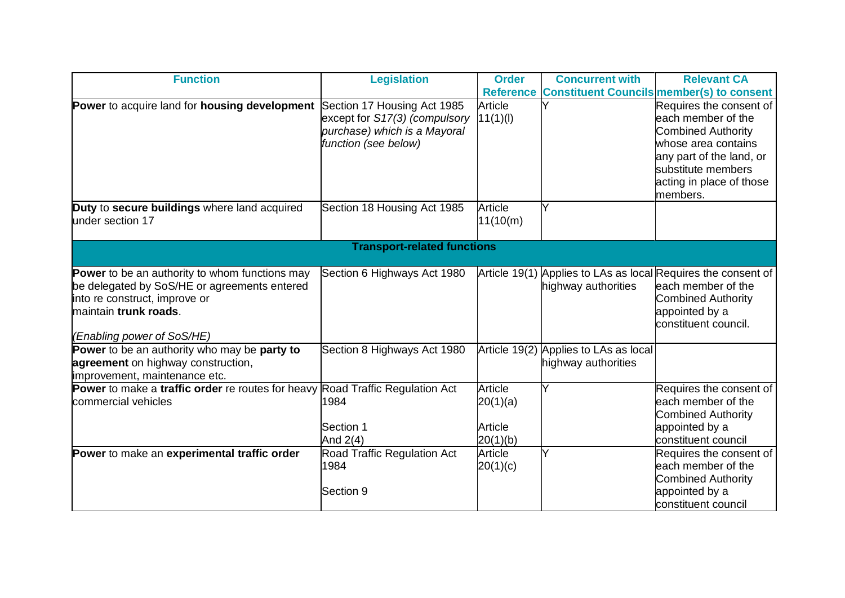| <b>Function</b>                                                                      | <b>Legislation</b>                 | <b>Order</b> | <b>Concurrent with</b>                | <b>Relevant CA</b>                                            |
|--------------------------------------------------------------------------------------|------------------------------------|--------------|---------------------------------------|---------------------------------------------------------------|
|                                                                                      |                                    |              |                                       | Reference Constituent Councils member(s) to consent           |
| Power to acquire land for housing development                                        | Section 17 Housing Act 1985        | Article      |                                       | Requires the consent of                                       |
|                                                                                      | except for S17(3) (compulsory      | 11(1)(I)     |                                       | leach member of the                                           |
|                                                                                      | purchase) which is a Mayoral       |              |                                       | <b>Combined Authority</b>                                     |
|                                                                                      | function (see below)               |              |                                       | whose area contains                                           |
|                                                                                      |                                    |              |                                       | any part of the land, or                                      |
|                                                                                      |                                    |              |                                       | substitute members                                            |
|                                                                                      |                                    |              |                                       | acting in place of those                                      |
|                                                                                      |                                    |              |                                       | members.                                                      |
| Duty to secure buildings where land acquired                                         | Section 18 Housing Act 1985        | Article      |                                       |                                                               |
| under section 17                                                                     |                                    | 11(10(m))    |                                       |                                                               |
|                                                                                      |                                    |              |                                       |                                                               |
|                                                                                      | <b>Transport-related functions</b> |              |                                       |                                                               |
| <b>Power</b> to be an authority to whom functions may                                | Section 6 Highways Act 1980        |              |                                       | Article 19(1) Applies to LAs as local Requires the consent of |
| be delegated by SoS/HE or agreements entered                                         |                                    |              | highway authorities                   | each member of the                                            |
| into re construct, improve or                                                        |                                    |              |                                       | <b>Combined Authority</b>                                     |
| maintain trunk roads.                                                                |                                    |              |                                       | appointed by a                                                |
|                                                                                      |                                    |              |                                       | constituent council.                                          |
| (Enabling power of SoS/HE)                                                           |                                    |              |                                       |                                                               |
| Power to be an authority who may be party to                                         | Section 8 Highways Act 1980        |              | Article 19(2) Applies to LAs as local |                                                               |
| agreement on highway construction,                                                   |                                    |              | highway authorities                   |                                                               |
| improvement, maintenance etc.                                                        |                                    |              |                                       |                                                               |
| <b>Power</b> to make a traffic order re routes for heavy Road Traffic Regulation Act |                                    | Article      | Y                                     | Requires the consent of                                       |
| commercial vehicles                                                                  | 1984                               | 20(1)(a)     |                                       | leach member of the                                           |
|                                                                                      |                                    |              |                                       | <b>Combined Authority</b>                                     |
|                                                                                      | Section 1                          | Article      |                                       | appointed by a                                                |
|                                                                                      | And $2(4)$                         | 20(1)(b)     |                                       | constituent council                                           |
| Power to make an experimental traffic order                                          | <b>Road Traffic Regulation Act</b> | Article      | ΙY                                    | Requires the consent of                                       |
|                                                                                      | 1984                               | 20(1)(c)     |                                       | each member of the                                            |
|                                                                                      |                                    |              |                                       | <b>Combined Authority</b>                                     |
|                                                                                      | Section 9                          |              |                                       | appointed by a                                                |
|                                                                                      |                                    |              |                                       | constituent council                                           |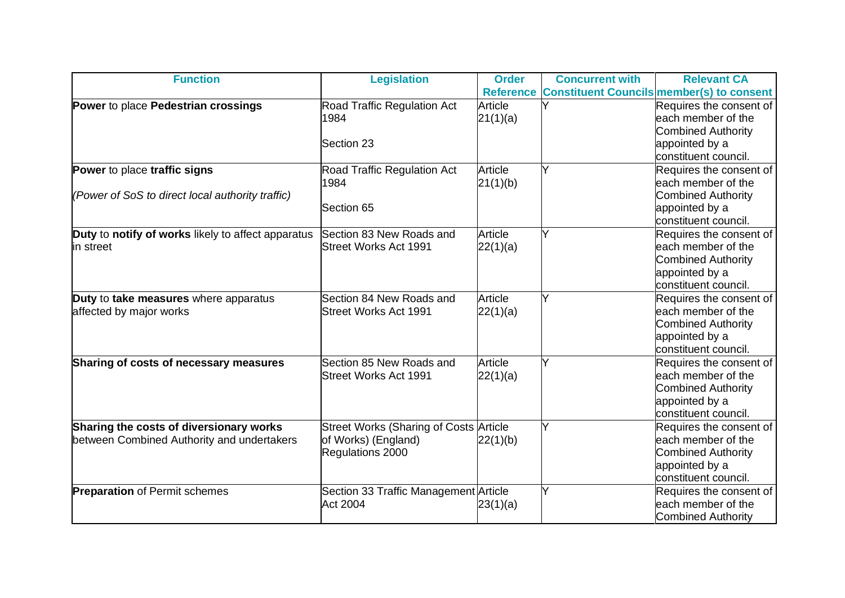| <b>Function</b>                                    | <b>Legislation</b>                            | <b>Order</b> | <b>Concurrent with</b> | <b>Relevant CA</b>                                  |
|----------------------------------------------------|-----------------------------------------------|--------------|------------------------|-----------------------------------------------------|
|                                                    |                                               |              |                        | Reference Constituent Councils member(s) to consent |
| Power to place Pedestrian crossings                | Road Traffic Regulation Act                   | Article      |                        | Requires the consent of                             |
|                                                    | 1984                                          | 21(1)(a)     |                        | each member of the                                  |
|                                                    |                                               |              |                        | <b>Combined Authority</b>                           |
|                                                    | Section 23                                    |              |                        | appointed by a                                      |
|                                                    |                                               |              |                        | constituent council.                                |
| Power to place traffic signs                       | Road Traffic Regulation Act                   | Article      |                        | Requires the consent of                             |
|                                                    | 1984                                          | 21(1)(b)     |                        | leach member of the                                 |
| (Power of SoS to direct local authority traffic)   |                                               |              |                        | <b>Combined Authority</b>                           |
|                                                    | Section 65                                    |              |                        | appointed by a                                      |
|                                                    |                                               |              |                        | constituent council.                                |
| Duty to notify of works likely to affect apparatus | Section 83 New Roads and                      | Article      | Ý                      | Requires the consent of                             |
| in street                                          | <b>Street Works Act 1991</b>                  | 22(1)(a)     |                        | each member of the                                  |
|                                                    |                                               |              |                        | <b>Combined Authority</b>                           |
|                                                    |                                               |              |                        | appointed by a                                      |
|                                                    |                                               |              |                        | constituent council.                                |
| Duty to take measures where apparatus              | Section 84 New Roads and                      | Article      | Y                      | Requires the consent of                             |
| affected by major works                            | <b>Street Works Act 1991</b>                  | 22(1)(a)     |                        | leach member of the                                 |
|                                                    |                                               |              |                        | <b>Combined Authority</b>                           |
|                                                    |                                               |              |                        | appointed by a                                      |
|                                                    |                                               |              |                        | constituent council.                                |
| Sharing of costs of necessary measures             | Section 85 New Roads and                      | Article      | Y                      | Requires the consent of                             |
|                                                    | <b>Street Works Act 1991</b>                  | 22(1)(a)     |                        | each member of the                                  |
|                                                    |                                               |              |                        | <b>Combined Authority</b>                           |
|                                                    |                                               |              |                        | appointed by a                                      |
|                                                    |                                               |              |                        | constituent council.                                |
| Sharing the costs of diversionary works            | <b>Street Works (Sharing of Costs Article</b> |              | Ý                      | Requires the consent of                             |
| between Combined Authority and undertakers         | of Works) (England)                           | 22(1)(b)     |                        | each member of the                                  |
|                                                    | Regulations 2000                              |              |                        | <b>Combined Authority</b>                           |
|                                                    |                                               |              |                        | appointed by a                                      |
|                                                    |                                               |              |                        | constituent council.                                |
| <b>Preparation of Permit schemes</b>               | Section 33 Traffic Management Article         |              | Ý                      | Requires the consent of                             |
|                                                    | <b>Act 2004</b>                               | 23(1)(a)     |                        | leach member of the                                 |
|                                                    |                                               |              |                        | <b>Combined Authority</b>                           |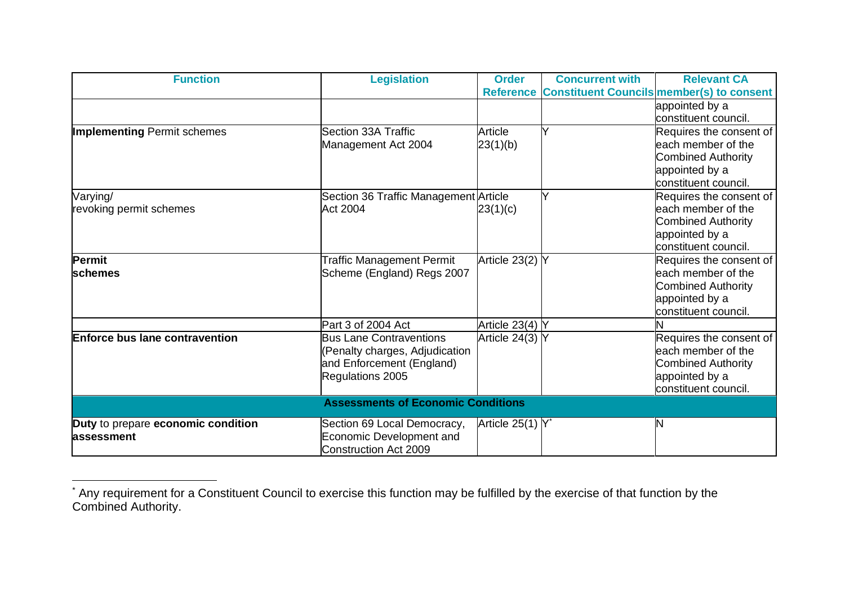| <b>Function</b>                           | <b>Legislation</b>                    | <b>Order</b>          | <b>Concurrent with</b> | <b>Relevant CA</b>                                  |  |  |
|-------------------------------------------|---------------------------------------|-----------------------|------------------------|-----------------------------------------------------|--|--|
|                                           |                                       |                       |                        | Reference Constituent Councils member(s) to consent |  |  |
|                                           |                                       |                       |                        | appointed by a                                      |  |  |
|                                           |                                       |                       |                        | constituent council.                                |  |  |
| <b>Implementing Permit schemes</b>        | Section 33A Traffic                   | Article               | Y                      | Requires the consent of                             |  |  |
|                                           | Management Act 2004                   | 23(1)(b)              |                        | leach member of the                                 |  |  |
|                                           |                                       |                       |                        | <b>Combined Authority</b>                           |  |  |
|                                           |                                       |                       |                        | appointed by a                                      |  |  |
|                                           |                                       |                       |                        | constituent council.                                |  |  |
| Varying/                                  | Section 36 Traffic Management Article |                       |                        | Requires the consent of                             |  |  |
| revoking permit schemes                   | <b>Act 2004</b>                       | 23(1)(c)              |                        | each member of the                                  |  |  |
|                                           |                                       |                       |                        | <b>Combined Authority</b>                           |  |  |
|                                           |                                       |                       |                        | appointed by a                                      |  |  |
|                                           |                                       |                       |                        | constituent council.                                |  |  |
| Permit                                    | <b>Traffic Management Permit</b>      | Article 23(2) Y       |                        | Requires the consent of                             |  |  |
| <b>schemes</b>                            | Scheme (England) Regs 2007            |                       |                        | each member of the                                  |  |  |
|                                           |                                       |                       |                        | <b>Combined Authority</b>                           |  |  |
|                                           |                                       |                       |                        | appointed by a                                      |  |  |
|                                           |                                       |                       |                        | constituent council.                                |  |  |
|                                           | Part 3 of 2004 Act                    | Article 23(4) Y       |                        |                                                     |  |  |
| <b>Enforce bus lane contravention</b>     | <b>Bus Lane Contraventions</b>        | Article $24(3)$ Y     |                        | Requires the consent of                             |  |  |
|                                           | (Penalty charges, Adjudication        |                       |                        | leach member of the                                 |  |  |
|                                           | and Enforcement (England)             |                       |                        | <b>Combined Authority</b>                           |  |  |
|                                           | Regulations 2005                      |                       |                        | appointed by a                                      |  |  |
|                                           |                                       |                       |                        | constituent council.                                |  |  |
| <b>Assessments of Economic Conditions</b> |                                       |                       |                        |                                                     |  |  |
| Duty to prepare economic condition        | Section 69 Local Democracy,           | Article $25(1)$ $Y^*$ |                        | N                                                   |  |  |
| assessment                                | Economic Development and              |                       |                        |                                                     |  |  |
|                                           | <b>Construction Act 2009</b>          |                       |                        |                                                     |  |  |

<sup>\*</sup> Any requirement for a Constituent Council to exercise this function may be fulfilled by the exercise of that function by the Combined Authority.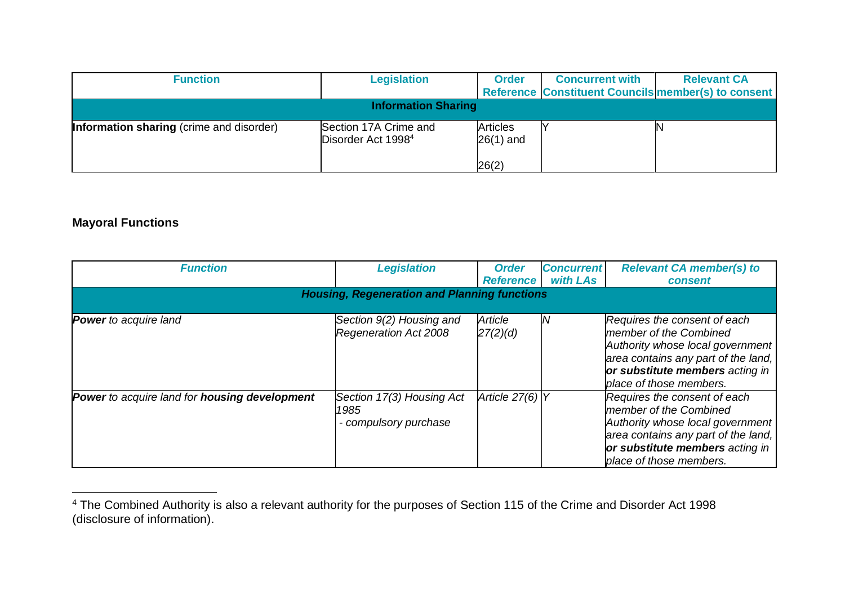| <b>Function</b>                                 | <b>Legislation</b>                                      | <b>Order</b>                            | <b>Concurrent with</b> | <b>Relevant CA</b><br>Reference Constituent Councils member(s) to consent |
|-------------------------------------------------|---------------------------------------------------------|-----------------------------------------|------------------------|---------------------------------------------------------------------------|
|                                                 | <b>Information Sharing</b>                              |                                         |                        |                                                                           |
| <b>Information sharing</b> (crime and disorder) | Section 17A Crime and<br>Disorder Act 1998 <sup>4</sup> | <b>Articles</b><br>$26(1)$ and<br>26(2) |                        | N                                                                         |

# **Mayoral Functions**

| <b>Function</b>                               | <b>Legislation</b>                                         | <b>Order</b><br><b>Reference</b> | <b>Concurrent</b><br>with LAs | <b>Relevant CA member(s) to</b><br>consent                                                                                                                                                      |
|-----------------------------------------------|------------------------------------------------------------|----------------------------------|-------------------------------|-------------------------------------------------------------------------------------------------------------------------------------------------------------------------------------------------|
|                                               | <b>Housing, Regeneration and Planning functions</b>        |                                  |                               |                                                                                                                                                                                                 |
| <b>Power</b> to acquire land                  | Section 9(2) Housing and<br>Regeneration Act 2008          | Article<br>27(2)(d)              | IN                            | Requires the consent of each<br>member of the Combined<br>Authority whose local government<br>area contains any part of the land,<br>or substitute members acting in<br>place of those members. |
| Power to acquire land for housing development | Section 17(3) Housing Act<br>1985<br>- compulsory purchase | Article $27(6)$ Y                |                               | Requires the consent of each<br>member of the Combined<br>Authority whose local government<br>area contains any part of the land,<br>or substitute members acting in<br>place of those members. |

<sup>4</sup> The Combined Authority is also a relevant authority for the purposes of Section 115 of the Crime and Disorder Act 1998 (disclosure of information).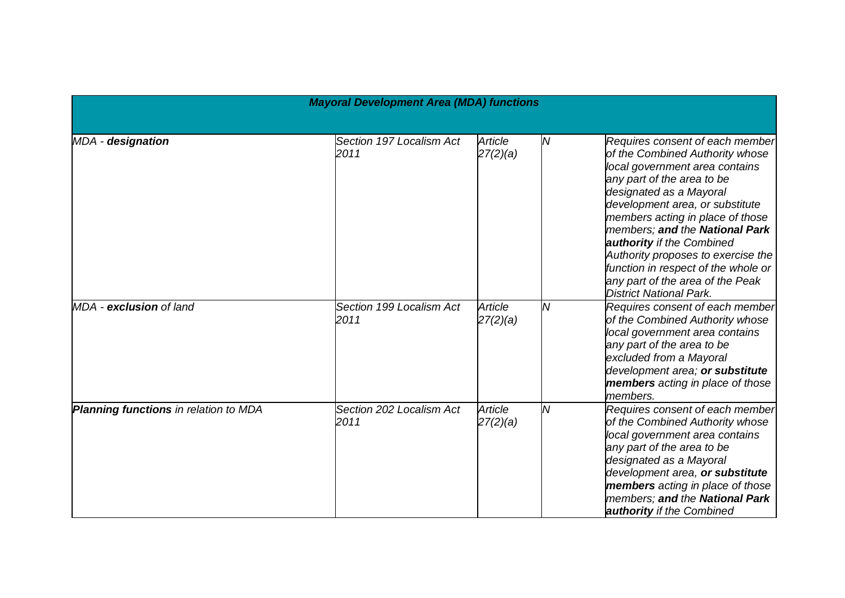| <b>Mayoral Development Area (MDA) functions</b> |                                  |                     |                |                                                                                                                                                                                                                                                                                                                                                                                                                                                        |
|-------------------------------------------------|----------------------------------|---------------------|----------------|--------------------------------------------------------------------------------------------------------------------------------------------------------------------------------------------------------------------------------------------------------------------------------------------------------------------------------------------------------------------------------------------------------------------------------------------------------|
|                                                 |                                  |                     |                |                                                                                                                                                                                                                                                                                                                                                                                                                                                        |
| MDA - designation                               | Section 197 Localism Act<br>2011 | Article<br>27(2)(a) | N              | Requires consent of each member<br>of the Combined Authority whose<br>local government area contains<br>any part of the area to be<br>designated as a Mayoral<br>development area, or substitute<br>members acting in place of those<br>members; and the National Park<br>authority if the Combined<br>Authority proposes to exercise the<br>function in respect of the whole or<br>any part of the area of the Peak<br><b>District National Park.</b> |
| MDA - exclusion of land                         | Section 199 Localism Act<br>2011 | Article<br>27(2)(a) | N              | Requires consent of each member<br>of the Combined Authority whose<br>local government area contains<br>any part of the area to be<br>excluded from a Mayoral<br>development area; or substitute<br>members acting in place of those<br>members.                                                                                                                                                                                                       |
| Planning functions in relation to MDA           | Section 202 Localism Act<br>2011 | Article<br>27(2)(a) | $\overline{M}$ | Requires consent of each member<br>of the Combined Authority whose<br>local government area contains<br>any part of the area to be<br>designated as a Mayoral<br>development area, or substitute<br>members acting in place of those<br>members; and the National Park<br><b>authority</b> if the Combined                                                                                                                                             |